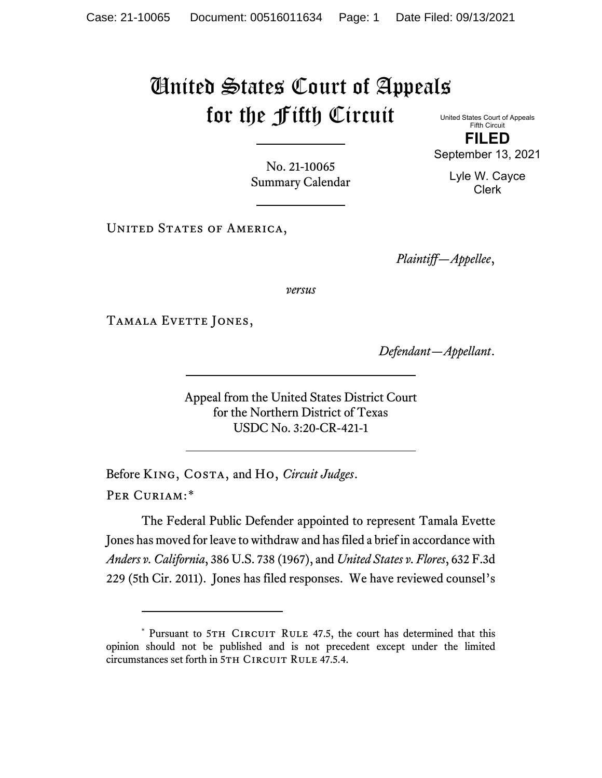## United States Court of Appeals for the Fifth Circuit

United States Court of Appeals Fifth Circuit **FILED**

No. 21-10065 Summary Calendar

UNITED STATES OF AMERICA,

*Plaintiff—Appellee*,

*versus*

TAMALA EVETTE JONES,

*Defendant—Appellant*.

Appeal from the United States District Court for the Northern District of Texas USDC No. 3:20-CR-421-1

Before King, Costa, and Ho, *Circuit Judges*. Per Curiam:[\\*](#page-0-0)

The Federal Public Defender appointed to represent Tamala Evette Jones has moved for leave to withdraw and has filed a brief in accordance with *Anders v. California*, 386 U.S. 738 (1967), and *United States v. Flores*, 632 F.3d 229 (5th Cir. 2011). Jones has filed responses. We have reviewed counsel's

September 13, 2021 Lyle W. Cayce

Clerk

<span id="page-0-0"></span><sup>\*</sup> Pursuant to 5TH CIRCUIT RULE 47.5, the court has determined that this opinion should not be published and is not precedent except under the limited circumstances set forth in 5TH CIRCUIT RULE 47.5.4.